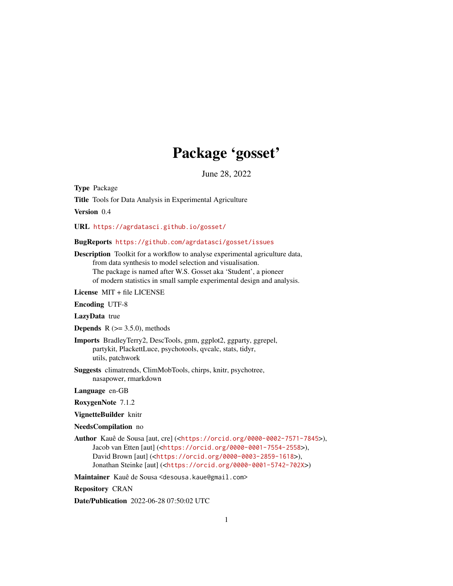## Package 'gosset'

June 28, 2022

<span id="page-0-0"></span>Type Package Title Tools for Data Analysis in Experimental Agriculture

Version 0.4

URL <https://agrdatasci.github.io/gosset/>

#### BugReports <https://github.com/agrdatasci/gosset/issues>

Description Toolkit for a workflow to analyse experimental agriculture data, from data synthesis to model selection and visualisation. The package is named after W.S. Gosset aka 'Student', a pioneer of modern statistics in small sample experimental design and analysis.

License MIT + file LICENSE

Encoding UTF-8

LazyData true

**Depends** R  $(>= 3.5.0)$ , methods

- Imports BradleyTerry2, DescTools, gnm, ggplot2, ggparty, ggrepel, partykit, PlackettLuce, psychotools, qvcalc, stats, tidyr, utils, patchwork
- Suggests climatrends, ClimMobTools, chirps, knitr, psychotree, nasapower, rmarkdown

Language en-GB

RoxygenNote 7.1.2

VignetteBuilder knitr

NeedsCompilation no

Author Kauê de Sousa [aut, cre] (<<https://orcid.org/0000-0002-7571-7845>>), Jacob van Etten [aut] (<<https://orcid.org/0000-0001-7554-2558>>), David Brown [aut] (<<https://orcid.org/0000-0003-2859-1618>>), Jonathan Steinke [aut] (<<https://orcid.org/0000-0001-5742-702X>>)

Maintainer Kauê de Sousa <desousa.kaue@gmail.com>

Repository CRAN

Date/Publication 2022-06-28 07:50:02 UTC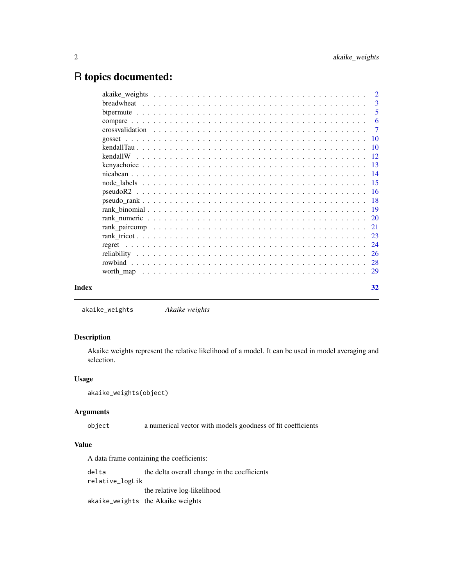## <span id="page-1-0"></span>R topics documented:

|  |  |  |  |  |  |  |  |  |  |  |  |  |  |  | $\overline{2}$             |
|--|--|--|--|--|--|--|--|--|--|--|--|--|--|--|----------------------------|
|  |  |  |  |  |  |  |  |  |  |  |  |  |  |  | -3                         |
|  |  |  |  |  |  |  |  |  |  |  |  |  |  |  | $\overline{\phantom{0}}$ 5 |
|  |  |  |  |  |  |  |  |  |  |  |  |  |  |  | -6                         |
|  |  |  |  |  |  |  |  |  |  |  |  |  |  |  |                            |
|  |  |  |  |  |  |  |  |  |  |  |  |  |  |  |                            |
|  |  |  |  |  |  |  |  |  |  |  |  |  |  |  |                            |
|  |  |  |  |  |  |  |  |  |  |  |  |  |  |  |                            |
|  |  |  |  |  |  |  |  |  |  |  |  |  |  |  |                            |
|  |  |  |  |  |  |  |  |  |  |  |  |  |  |  |                            |
|  |  |  |  |  |  |  |  |  |  |  |  |  |  |  |                            |
|  |  |  |  |  |  |  |  |  |  |  |  |  |  |  |                            |
|  |  |  |  |  |  |  |  |  |  |  |  |  |  |  |                            |
|  |  |  |  |  |  |  |  |  |  |  |  |  |  |  |                            |
|  |  |  |  |  |  |  |  |  |  |  |  |  |  |  |                            |
|  |  |  |  |  |  |  |  |  |  |  |  |  |  |  |                            |
|  |  |  |  |  |  |  |  |  |  |  |  |  |  |  |                            |
|  |  |  |  |  |  |  |  |  |  |  |  |  |  |  |                            |
|  |  |  |  |  |  |  |  |  |  |  |  |  |  |  |                            |
|  |  |  |  |  |  |  |  |  |  |  |  |  |  |  |                            |
|  |  |  |  |  |  |  |  |  |  |  |  |  |  |  |                            |
|  |  |  |  |  |  |  |  |  |  |  |  |  |  |  | 32                         |

```
akaike_weights Akaike weights
```
## Description

Akaike weights represent the relative likelihood of a model. It can be used in model averaging and selection.

## Usage

```
akaike_weights(object)
```
## Arguments

object a numerical vector with models goodness of fit coefficients

## Value

A data frame containing the coefficients:

delta the delta overall change in the coefficients relative\_logLik the relative log-likelihood akaike\_weights the Akaike weights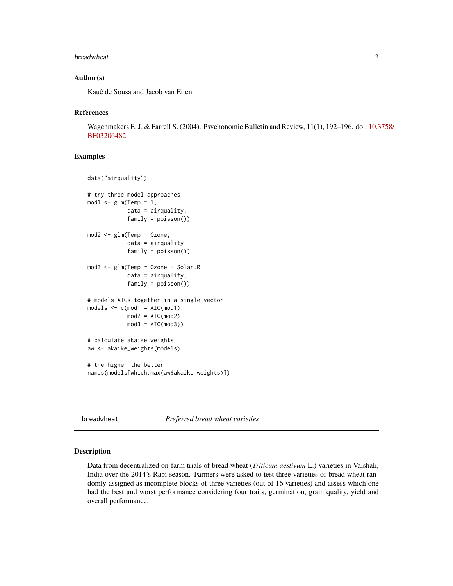#### <span id="page-2-0"></span>breadwheat 3

#### Author(s)

Kauê de Sousa and Jacob van Etten

#### References

Wagenmakers E. J. & Farrell S. (2004). Psychonomic Bulletin and Review, 11(1), 192–196. doi: [10.3](https://doi.org/10.3758/BF03206482)758/ [BF03206482](https://doi.org/10.3758/BF03206482)

#### Examples

```
data("airquality")
# try three model approaches
mod1 < - glm(Temp \sim 1,
            data = airquality,
            family = poisson())
mod2 <- glm(Temp ~ Ozone,
            data = airquality,
            family = poisson())
mod3 <- glm(Temp ~ Ozone + Solar.R,
            data = airquality,
            family = poisson())
# models AICs together in a single vector
models \leftarrow c(mod1 = AIC(mod1),mod2 = AIC(mod2),
            mod3 = AIC(mod3))# calculate akaike weights
aw <- akaike_weights(models)
# the higher the better
names(models[which.max(aw$akaike_weights)])
```
<span id="page-2-1"></span>breadwheat *Preferred bread wheat varieties*

## Description

Data from decentralized on-farm trials of bread wheat (*Triticum aestivum* L.) varieties in Vaishali, India over the 2014's Rabi season. Farmers were asked to test three varieties of bread wheat randomly assigned as incomplete blocks of three varieties (out of 16 varieties) and assess which one had the best and worst performance considering four traits, germination, grain quality, yield and overall performance.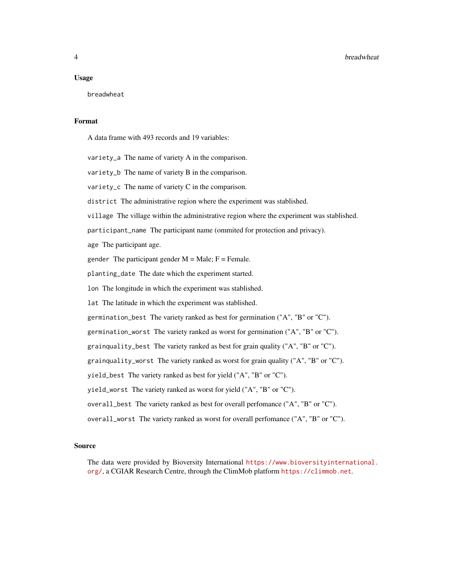#### Usage

breadwheat

## Format

A data frame with 493 records and 19 variables:

variety\_a The name of variety A in the comparison. variety\_b The name of variety B in the comparison. variety\_c The name of variety C in the comparison. district The administrative region where the experiment was stablished. village The village within the administrative region where the experiment was stablished. participant\_name The participant name (ommited for protection and privacy). age The participant age. gender The participant gender  $M = Male$ ;  $F = Female$ . planting\_date The date which the experiment started. lon The longitude in which the experiment was stablished. lat The latitude in which the experiment was stablished. germination\_best The variety ranked as best for germination ("A", "B" or "C"). germination\_worst The variety ranked as worst for germination ("A", "B" or "C"). grainquality\_best The variety ranked as best for grain quality ("A", "B" or "C"). grainquality\_worst The variety ranked as worst for grain quality ("A", "B" or "C"). yield\_best The variety ranked as best for yield ("A", "B" or "C"). yield\_worst The variety ranked as worst for yield ("A", "B" or "C"). overall\_best The variety ranked as best for overall perfomance ("A", "B" or "C"). overall\_worst The variety ranked as worst for overall perfomance ("A", "B" or "C").

#### Source

The data were provided by Bioversity International [https://www.bioversityinternational.](https://www.bioversityinternational.org/) [org/](https://www.bioversityinternational.org/), a CGIAR Research Centre, through the ClimMob platform <https://climmob.net>.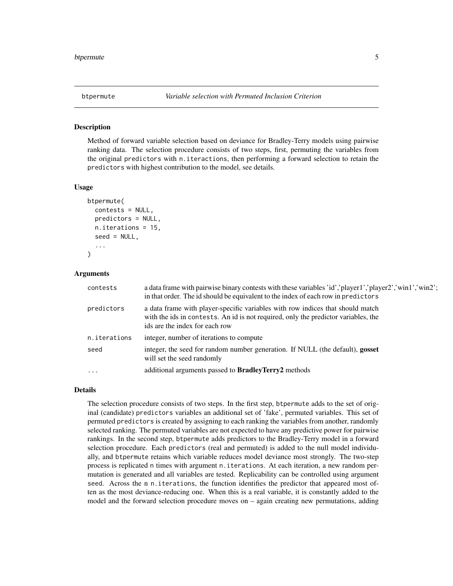<span id="page-4-1"></span><span id="page-4-0"></span>

## **Description**

Method of forward variable selection based on deviance for Bradley-Terry models using pairwise ranking data. The selection procedure consists of two steps, first, permuting the variables from the original predictors with n.iteractions, then performing a forward selection to retain the predictors with highest contribution to the model, see details.

#### Usage

```
btpermute(
  contests = NULL,
  predictors = NULL,
  n.iterations = 15,
  seed = NULL,
  ...
)
```
#### Arguments

| contests     | a data frame with pairwise binary contests with these variables 'id', 'player1','player2','win1','win2';<br>in that order. The id should be equivalent to the index of each row in predictors          |
|--------------|--------------------------------------------------------------------------------------------------------------------------------------------------------------------------------------------------------|
| predictors   | a data frame with player-specific variables with row indices that should match<br>with the ids in contests. An id is not required, only the predictor variables, the<br>ids are the index for each row |
| n.iterations | integer, number of iterations to compute                                                                                                                                                               |
| seed         | integer, the seed for random number generation. If NULL (the default), gosset<br>will set the seed randomly                                                                                            |
| $\ddotsc$    | additional arguments passed to <b>BradleyTerry2</b> methods                                                                                                                                            |

#### Details

The selection procedure consists of two steps. In the first step, btpermute adds to the set of original (candidate) predictors variables an additional set of 'fake', permuted variables. This set of permuted predictors is created by assigning to each ranking the variables from another, randomly selected ranking. The permuted variables are not expected to have any predictive power for pairwise rankings. In the second step, btpermute adds predictors to the Bradley-Terry model in a forward selection procedure. Each predictors (real and permuted) is added to the null model individually, and btpermute retains which variable reduces model deviance most strongly. The two-step process is replicated n times with argument n.iterations. At each iteration, a new random permutation is generated and all variables are tested. Replicability can be controlled using argument seed. Across the n n.iterations, the function identifies the predictor that appeared most often as the most deviance-reducing one. When this is a real variable, it is constantly added to the model and the forward selection procedure moves on – again creating new permutations, adding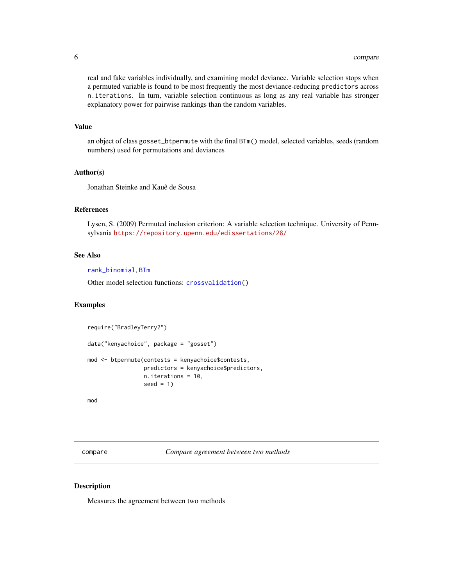<span id="page-5-0"></span>real and fake variables individually, and examining model deviance. Variable selection stops when a permuted variable is found to be most frequently the most deviance-reducing predictors across n.iterations. In turn, variable selection continuous as long as any real variable has stronger explanatory power for pairwise rankings than the random variables.

## Value

an object of class gosset\_btpermute with the final BTm() model, selected variables, seeds (random numbers) used for permutations and deviances

## Author(s)

Jonathan Steinke and Kauê de Sousa

## References

Lysen, S. (2009) Permuted inclusion criterion: A variable selection technique. University of Pennsylvania <https://repository.upenn.edu/edissertations/28/>

## See Also

[rank\\_binomial](#page-18-1), [BTm](#page-0-0)

Other model selection functions: [crossvalidation\(](#page-6-1))

## Examples

```
require("BradleyTerry2")
data("kenyachoice", package = "gosset")
mod <- btpermute(contests = kenyachoice$contests,
                 predictors = kenyachoice$predictors,
                 n.iterations = 10,
                 seed = 1
```
mod

compare *Compare agreement between two methods*

#### Description

Measures the agreement between two methods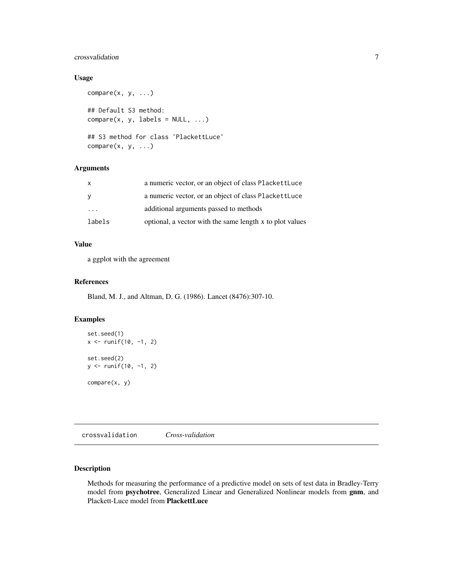## <span id="page-6-0"></span>crossvalidation 7

## Usage

```
compare(x, y, ...)## Default S3 method:
compare(x, y, labels = NULL, ...)## S3 method for class 'PlackettLuce'
compare(x, y, ...)
```
## Arguments

|                         | a numeric vector, or an object of class PlackettLuce     |
|-------------------------|----------------------------------------------------------|
|                         | a numeric vector, or an object of class PlackettLuce     |
| $\cdot$ $\cdot$ $\cdot$ | additional arguments passed to methods                   |
| labels                  | optional, a vector with the same length x to plot values |

## Value

a ggplot with the agreement

#### References

Bland, M. J., and Altman, D. G. (1986). Lancet (8476):307-10.

## Examples

```
set.seed(1)
x \le runif(10, -1, 2)
set.seed(2)
y <- runif(10, -1, 2)
compare(x, y)
```
<span id="page-6-1"></span>crossvalidation *Cross-validation*

## Description

Methods for measuring the performance of a predictive model on sets of test data in Bradley-Terry model from psychotree, Generalized Linear and Generalized Nonlinear models from gnm, and Plackett-Luce model from PlackettLuce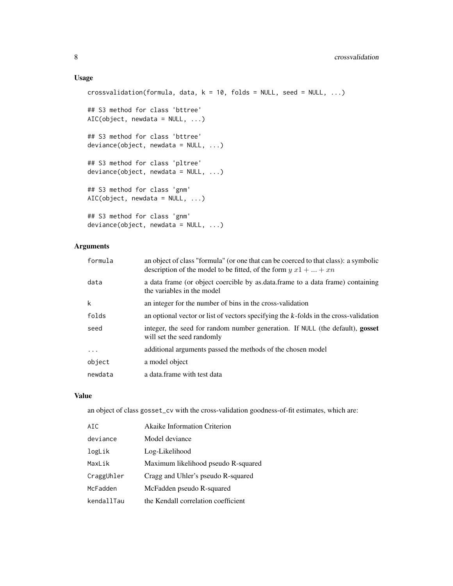## Usage

```
crossvalidation(formula, data, k = 10, folds = NULL, seed = NULL, ...)
## S3 method for class 'bttree'
AIC(object, newdata = NULL, ...)## S3 method for class 'bttree'
deviance(object, newdata = NULL, ...)
## S3 method for class 'pltree'
deviance(object, newdata = NULL, ...)
## S3 method for class 'gnm'
AIC(object, newdata = NULL, ...)
## S3 method for class 'gnm'
deviance(object, newdata = NULL, ...)
```
## Arguments

| formula  | an object of class "formula" (or one that can be coerced to that class): a symbolic<br>description of the model to be fitted, of the form $y x 1 +  + xn$ |
|----------|-----------------------------------------------------------------------------------------------------------------------------------------------------------|
| data     | a data frame (or object coercible by as data frame to a data frame) containing<br>the variables in the model                                              |
| k        | an integer for the number of bins in the cross-validation                                                                                                 |
| folds    | an optional vector or list of vectors specifying the k-folds in the cross-validation                                                                      |
| seed     | integer, the seed for random number generation. If NULL (the default), gosset<br>will set the seed randomly                                               |
| $\cdots$ | additional arguments passed the methods of the chosen model                                                                                               |
| object   | a model object                                                                                                                                            |
| newdata  | a data.frame with test data                                                                                                                               |
|          |                                                                                                                                                           |

## Value

an object of class gosset\_cv with the cross-validation goodness-of-fit estimates, which are:

| ATC.       | <b>Akaike Information Criterion</b> |
|------------|-------------------------------------|
| deviance   | Model deviance                      |
| logLik     | Log-Likelihood                      |
| MaxLik     | Maximum likelihood pseudo R-squared |
| CraggUhler | Cragg and Uhler's pseudo R-squared  |
| McFadden   | McFadden pseudo R-squared           |
| kendallTau | the Kendall correlation coefficient |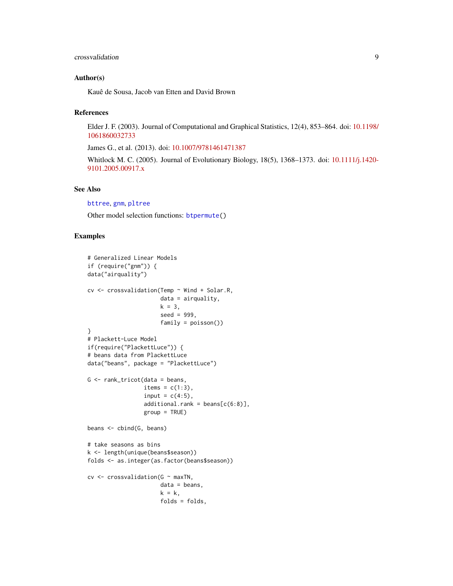#### <span id="page-8-0"></span>crossvalidation 9

#### Author(s)

Kauê de Sousa, Jacob van Etten and David Brown

#### References

Elder J. F. (2003). Journal of Computational and Graphical Statistics, 12(4), 853–864. doi: [10.1198/](https://doi.org/10.1198/1061860032733) [1061860032733](https://doi.org/10.1198/1061860032733)

James G., et al. (2013). doi: [10.1007/9781461471387](https://doi.org/10.1007/978-1-4614-7138-7)

Whitlock M. C. (2005). Journal of Evolutionary Biology, 18(5), 1368–1373. doi: [10.1111/j.1420-](https://doi.org/10.1111/j.1420-9101.2005.00917.x) [9101.2005.00917.x](https://doi.org/10.1111/j.1420-9101.2005.00917.x)

#### See Also

## [bttree](#page-0-0), [gnm](#page-0-0), [pltree](#page-0-0)

Other model selection functions: [btpermute\(](#page-4-1))

```
# Generalized Linear Models
if (require("gnm")) {
data("airquality")
cv <- crossvalidation(Temp ~ Wind + Solar.R,
                      data = airquality,
                       k = 3,
                       seed = 999,
                       family = poisson())
}
# Plackett-Luce Model
if(require("PlackettLuce")) {
# beans data from PlackettLuce
data("beans", package = "PlackettLuce")
G \leftarrow \text{rank\_tricot}(data = beans,items = c(1:3),
                 input = c(4:5),
                 additional.random = beans[c(6:8)],group = TRUE)
beans <- cbind(G, beans)
# take seasons as bins
k <- length(unique(beans$season))
folds <- as.integer(as.factor(beans$season))
cv \le crossvalidation(G \sim maxTN,
                      data = beans,
                       k = k,
                       folds = folds,
```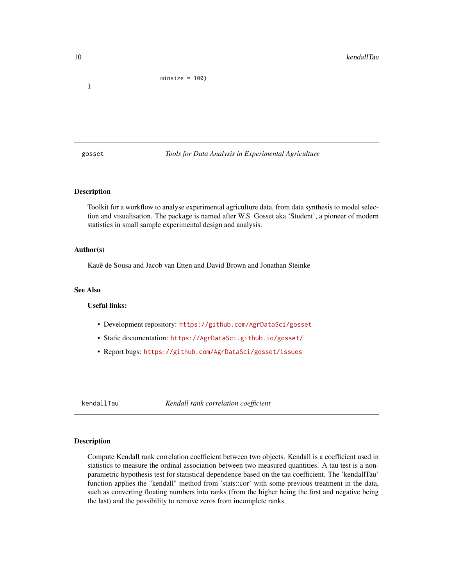<span id="page-9-0"></span>}

minsize = 100)

gosset *Tools for Data Analysis in Experimental Agriculture*

## Description

Toolkit for a workflow to analyse experimental agriculture data, from data synthesis to model selection and visualisation. The package is named after W.S. Gosset aka 'Student', a pioneer of modern statistics in small sample experimental design and analysis.

#### Author(s)

Kauê de Sousa and Jacob van Etten and David Brown and Jonathan Steinke

## See Also

#### Useful links:

- Development repository: <https://github.com/AgrDataSci/gosset>
- Static documentation: <https://AgrDataSci.github.io/gosset/>
- Report bugs: <https://github.com/AgrDataSci/gosset/issues>

<span id="page-9-1"></span>kendallTau *Kendall rank correlation coefficient*

#### Description

Compute Kendall rank correlation coefficient between two objects. Kendall is a coefficient used in statistics to measure the ordinal association between two measured quantities. A tau test is a nonparametric hypothesis test for statistical dependence based on the tau coefficient. The 'kendallTau' function applies the "kendall" method from 'stats::cor' with some previous treatment in the data, such as converting floating numbers into ranks (from the higher being the first and negative being the last) and the possibility to remove zeros from incomplete ranks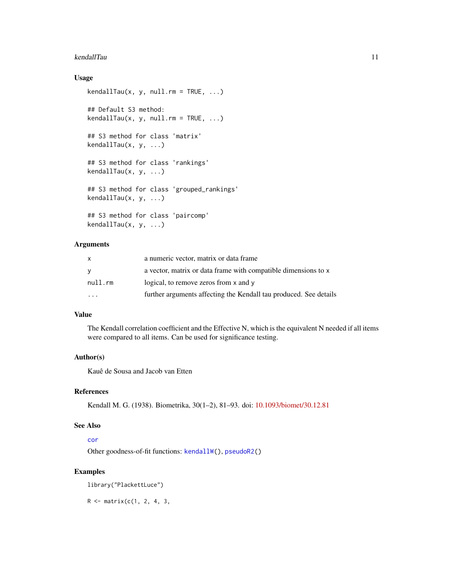#### <span id="page-10-0"></span>kendallTau 11

## Usage

```
kendallTau(x, y, null.rm = TRUE, ...)## Default S3 method:
kendallTau(x, y, null.rm = TRUE, ...)## S3 method for class 'matrix'
kendallTau(x, y, ...)
## S3 method for class 'rankings'
kendallTau(x, y, ...)## S3 method for class 'grouped_rankings'
kendallTau(x, y, ...)
## S3 method for class 'paircomp'
kendallTau(x, y, ...)
```
## Arguments

|           | a numeric vector, matrix or data frame                            |
|-----------|-------------------------------------------------------------------|
| v         | a vector, matrix or data frame with compatible dimensions to x    |
| null.rm   | logical, to remove zeros from x and y                             |
| $\ddotsc$ | further arguments affecting the Kendall tau produced. See details |

## Value

The Kendall correlation coefficient and the Effective N, which is the equivalent N needed if all items were compared to all items. Can be used for significance testing.

## Author(s)

Kauê de Sousa and Jacob van Etten

## References

Kendall M. G. (1938). Biometrika, 30(1–2), 81–93. doi: [10.1093/biomet/30.12.81](https://doi.org/10.1093/biomet/30.1-2.81)

## See Also

## [cor](#page-0-0)

Other goodness-of-fit functions: [kendallW\(](#page-11-1)), [pseudoR2\(](#page-15-1))

```
library("PlackettLuce")
```

```
R <- matrix(c(1, 2, 4, 3,
```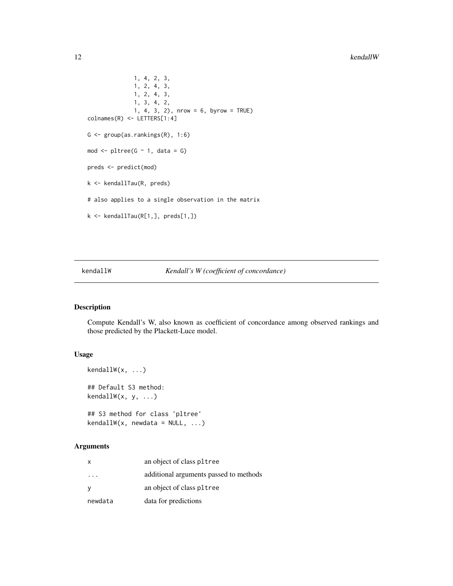```
1, 4, 2, 3,
              1, 2, 4, 3,
              1, 2, 4, 3,
              1, 3, 4, 2,
              1, 4, 3, 2), nrow = 6, byrow = TRUE)
colnames(R) <- LETTERS[1:4]
G <- group(as.rankings(R), 1:6)
mod \leq pltree(G \sim 1, data = G)
preds <- predict(mod)
k <- kendallTau(R, preds)
# also applies to a single observation in the matrix
k <- kendallTau(R[1,], preds[1,])
```
#### <span id="page-11-1"></span>kendallW *Kendall's W (coefficient of concordance)*

## Description

Compute Kendall's W, also known as coefficient of concordance among observed rankings and those predicted by the Plackett-Luce model.

## Usage

```
kendallW(x, ...)
## Default S3 method:
kendallW(x, y, ...)
```
## S3 method for class 'pltree'  $kendallW(x, newdata = NULL, ...)$ 

#### Arguments

| x       | an object of class pltree              |
|---------|----------------------------------------|
|         | additional arguments passed to methods |
| у       | an object of class pltree              |
| newdata | data for predictions                   |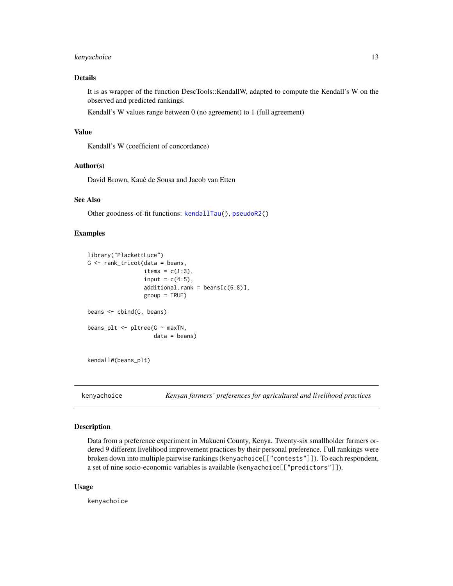## <span id="page-12-0"></span>kenyachoice 13

## Details

It is as wrapper of the function DescTools::KendallW, adapted to compute the Kendall's W on the observed and predicted rankings.

Kendall's W values range between 0 (no agreement) to 1 (full agreement)

#### Value

Kendall's W (coefficient of concordance)

#### Author(s)

David Brown, Kauê de Sousa and Jacob van Etten

## See Also

Other goodness-of-fit functions: [kendallTau\(](#page-9-1)), [pseudoR2\(](#page-15-1))

#### Examples

```
library("PlackettLuce")
G <- rank_tricot(data = beans,
                 items = c(1:3),
                 input = c(4:5),
                 additional.rank = beans[c(6:8)],
                 group = TRUE)
beans <- cbind(G, beans)
beans_plt <- pltree(G \sim maxTN,
                    data = beans)
```
kendallW(beans\_plt)

kenyachoice *Kenyan farmers' preferences for agricultural and livelihood practices*

## Description

Data from a preference experiment in Makueni County, Kenya. Twenty-six smallholder farmers ordered 9 different livelihood improvement practices by their personal preference. Full rankings were broken down into multiple pairwise rankings (kenyachoice[["contests"]]). To each respondent, a set of nine socio-economic variables is available (kenyachoice[["predictors"]]).

#### Usage

kenyachoice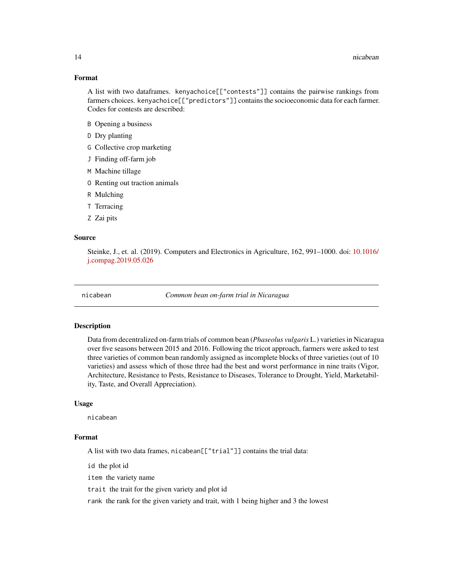#### <span id="page-13-0"></span>Format

A list with two dataframes. kenyachoice[["contests"]] contains the pairwise rankings from farmers choices. kenyachoice[["predictors"]] contains the socioeconomic data for each farmer. Codes for contests are described:

- B Opening a business
- D Dry planting
- G Collective crop marketing
- J Finding off-farm job
- M Machine tillage
- O Renting out traction animals
- R Mulching
- T Terracing
- Z Zai pits

#### Source

Steinke, J., et. al. (2019). Computers and Electronics in Agriculture, 162, 991–1000. doi: [10.1016/](https://doi.org/10.1016/j.compag.2019.05.026) [j.compag.2019.05.026](https://doi.org/10.1016/j.compag.2019.05.026)

nicabean *Common bean on-farm trial in Nicaragua*

#### Description

Data from decentralized on-farm trials of common bean (*Phaseolus vulgaris* L.) varieties in Nicaragua over five seasons between 2015 and 2016. Following the tricot approach, farmers were asked to test three varieties of common bean randomly assigned as incomplete blocks of three varieties (out of 10 varieties) and assess which of those three had the best and worst performance in nine traits (Vigor, Architecture, Resistance to Pests, Resistance to Diseases, Tolerance to Drought, Yield, Marketability, Taste, and Overall Appreciation).

#### Usage

nicabean

#### Format

A list with two data frames, nicabean[["trial"]] contains the trial data:

id the plot id

item the variety name

trait the trait for the given variety and plot id

rank the rank for the given variety and trait, with 1 being higher and 3 the lowest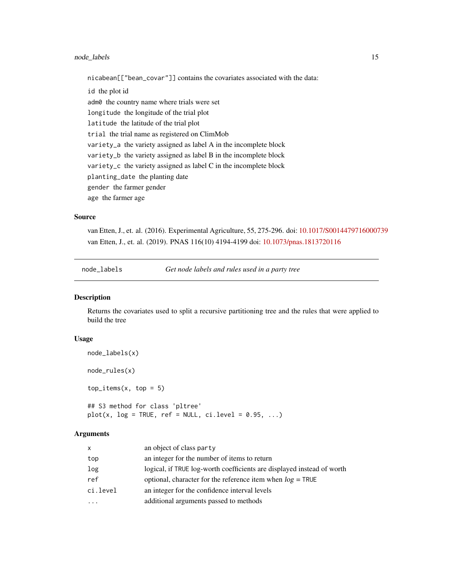## <span id="page-14-0"></span>node\_labels 15

nicabean[["bean\_covar"]] contains the covariates associated with the data:

id the plot id adm0 the country name where trials were set longitude the longitude of the trial plot latitude the latitude of the trial plot trial the trial name as registered on ClimMob variety\_a the variety assigned as label A in the incomplete block variety\_b the variety assigned as label B in the incomplete block variety\_c the variety assigned as label C in the incomplete block planting\_date the planting date gender the farmer gender age the farmer age

#### Source

van Etten, J., et. al. (2016). Experimental Agriculture, 55, 275-296. doi: [10.1017/S0014479716000739](https://doi.org/10.1017/S0014479716000739) van Etten, J., et. al. (2019). PNAS 116(10) 4194-4199 doi: [10.1073/pnas.1813720116](https://doi.org/10.1073/pnas.1813720116)

node\_labels *Get node labels and rules used in a party tree*

## Description

Returns the covariates used to split a recursive partitioning tree and the rules that were applied to build the tree

#### Usage

```
node_labels(x)
node_rules(x)
top\_items(x, top = 5)## S3 method for class 'pltree'
plot(x, log = TRUE, ref = NULL, c i. level = 0.95, ...)
```
#### Arguments

| an object of class party                                               |
|------------------------------------------------------------------------|
| an integer for the number of items to return                           |
| logical, if TRUE log-worth coefficients are displayed instead of worth |
| optional, character for the reference item when $log = TRUE$           |
| an integer for the confidence interval levels                          |
| additional arguments passed to methods                                 |
|                                                                        |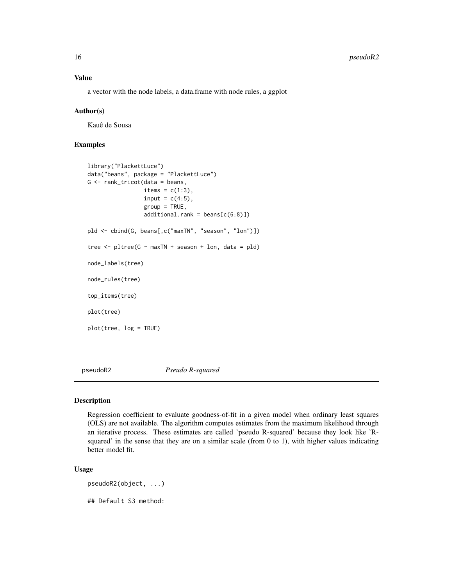## <span id="page-15-0"></span>Value

a vector with the node labels, a data.frame with node rules, a ggplot

#### Author(s)

Kauê de Sousa

## Examples

```
library("PlackettLuce")
data("beans", package = "PlackettLuce")
G <- rank_tricot(data = beans,
                 items = c(1:3),
                 input = c(4:5),
                 group = TRUE,
                 additional.random = beans[c(6:8)])pld <- cbind(G, beans[,c("maxTN", "season", "lon")])
tree \le pltree(G \sim maxTN + season + lon, data = pld)
node_labels(tree)
node_rules(tree)
top_items(tree)
plot(tree)
plot(tree, log = TRUE)
```
<span id="page-15-1"></span>pseudoR2 *Pseudo R-squared*

#### Description

Regression coefficient to evaluate goodness-of-fit in a given model when ordinary least squares (OLS) are not available. The algorithm computes estimates from the maximum likelihood through an iterative process. These estimates are called 'pseudo R-squared' because they look like 'Rsquared' in the sense that they are on a similar scale (from  $0$  to  $1$ ), with higher values indicating better model fit.

## Usage

pseudoR2(object, ...) ## Default S3 method: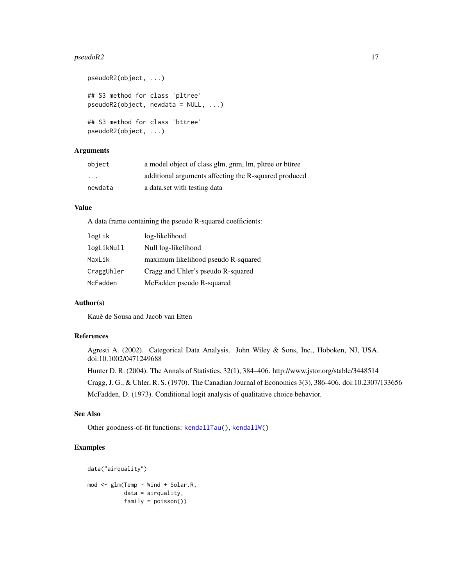#### <span id="page-16-0"></span> $pseudoR2$  and  $17$

```
pseudoR2(object, ...)
## S3 method for class 'pltree'
pseudoR2(object, newdata = NULL, ...)
## S3 method for class 'bttree'
pseudoR2(object, ...)
```
## Arguments

| object  | a model object of class glm, gnm, lm, pltree or bttree |
|---------|--------------------------------------------------------|
| .       | additional arguments affecting the R-squared produced  |
| newdata | a data set with testing data                           |

## Value

A data frame containing the pseudo R-squared coefficients:

| logLik     | log-likelihood                      |
|------------|-------------------------------------|
| logLikNull | Null log-likelihood                 |
| MaxLik     | maximum likelihood pseudo R-squared |
| CraggUhler | Cragg and Uhler's pseudo R-squared  |
| McFadden   | McFadden pseudo R-squared           |

#### Author(s)

Kauê de Sousa and Jacob van Etten

#### References

Agresti A. (2002). Categorical Data Analysis. John Wiley & Sons, Inc., Hoboken, NJ, USA. doi:10.1002/0471249688

Hunter D. R. (2004). The Annals of Statistics, 32(1), 384–406. http://www.jstor.org/stable/3448514

Cragg, J. G., & Uhler, R. S. (1970). The Canadian Journal of Economics 3(3), 386-406. doi:10.2307/133656 McFadden, D. (1973). Conditional logit analysis of qualitative choice behavior.

#### See Also

Other goodness-of-fit functions: [kendallTau\(](#page-9-1)), [kendallW\(](#page-11-1))

```
data("airquality")
mod <- glm(Temp ~ Wind + Solar.R,
           data = airquality,
           family = poisson())
```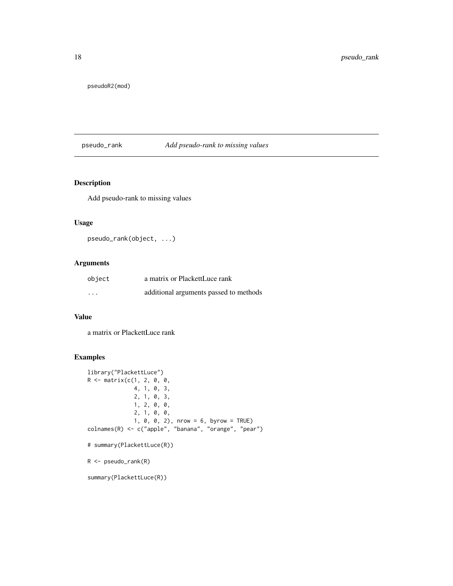<span id="page-17-0"></span>pseudoR2(mod)

## pseudo\_rank *Add pseudo-rank to missing values*

## Description

Add pseudo-rank to missing values

#### Usage

```
pseudo_rank(object, ...)
```
## Arguments

| object                  | a matrix or PlackettLuce rank          |
|-------------------------|----------------------------------------|
| $\cdot$ $\cdot$ $\cdot$ | additional arguments passed to methods |

#### Value

a matrix or PlackettLuce rank

```
library("PlackettLuce")
R <- matrix(c(1, 2, 0, 0,
              4, 1, 0, 3,
              2, 1, 0, 3,
              1, 2, 0, 0,
              2, 1, 0, 0,
              1, 0, 0, 2), nrow = 6, byrow = TRUE)
colnames(R) <- c("apple", "banana", "orange", "pear")
# summary(PlackettLuce(R))
R <- pseudo_rank(R)
summary(PlackettLuce(R))
```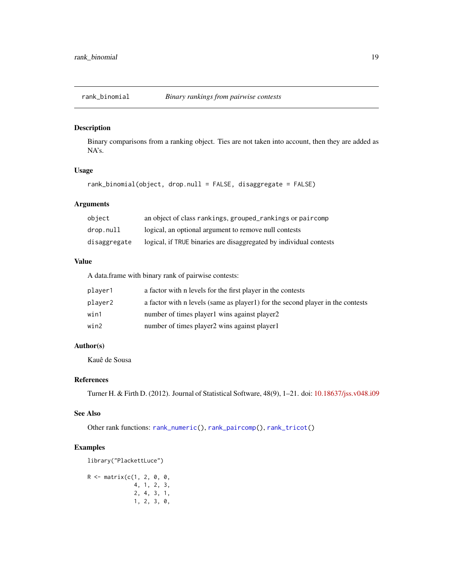<span id="page-18-1"></span><span id="page-18-0"></span>

## Description

Binary comparisons from a ranking object. Ties are not taken into account, then they are added as NA's.

## Usage

rank\_binomial(object, drop.null = FALSE, disaggregate = FALSE)

## Arguments

| object       | an object of class rankings, grouped_rankings or paircomp          |
|--------------|--------------------------------------------------------------------|
| drop.null    | logical, an optional argument to remove null contests              |
| disaggregate | logical, if TRUE binaries are disaggregated by individual contests |

#### Value

A data.frame with binary rank of pairwise contests:

| plaver1 | a factor with n levels for the first player in the contests                   |
|---------|-------------------------------------------------------------------------------|
| player2 | a factor with n levels (same as player) for the second player in the contests |
| win1    | number of times player l wins against player 2                                |
| win2    | number of times player2 wins against player1                                  |

## Author(s)

Kauê de Sousa

## References

Turner H. & Firth D. (2012). Journal of Statistical Software, 48(9), 1–21. doi: [10.18637/jss.v048.i09](https://doi.org/10.18637/jss.v048.i09)

## See Also

Other rank functions: [rank\\_numeric\(](#page-19-1)), [rank\\_paircomp\(](#page-20-1)), [rank\\_tricot\(](#page-22-1))

```
library("PlackettLuce")
```

```
R <- matrix(c(1, 2, 0, 0,
             4, 1, 2, 3,
             2, 4, 3, 1,
             1, 2, 3, 0,
```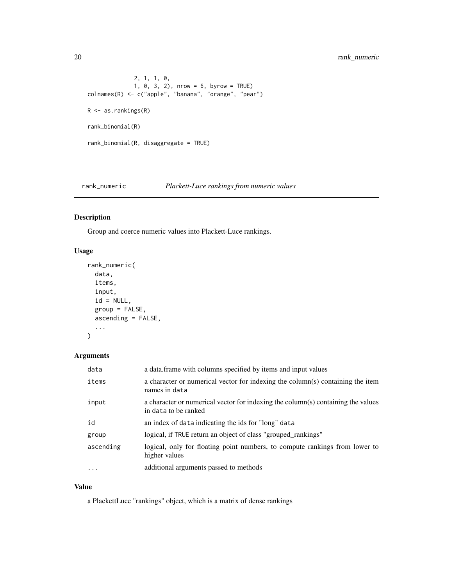<span id="page-19-0"></span>20 rank\_numeric

```
2, 1, 1, 0,
              1, 0, 3, 2), nrow = 6, byrow = TRUE)
colnames(R) <- c("apple", "banana", "orange", "pear")
R <- as.rankings(R)
rank_binomial(R)
rank_binomial(R, disaggregate = TRUE)
```
<span id="page-19-1"></span>rank\_numeric *Plackett-Luce rankings from numeric values*

## Description

Group and coerce numeric values into Plackett-Luce rankings.

#### Usage

```
rank_numeric(
  data,
  items,
  input,
  id = NULL,group = FALSE,
 ascending = FALSE,
  ...
)
```
## Arguments

| data      | a data frame with columns specified by items and input values                                            |
|-----------|----------------------------------------------------------------------------------------------------------|
| items     | a character or numerical vector for indexing the column(s) containing the item<br>names in data          |
| input     | a character or numerical vector for indexing the column(s) containing the values<br>in data to be ranked |
| id        | an index of data indicating the ids for "long" data                                                      |
| group     | logical, if TRUE return an object of class "grouped_rankings"                                            |
| ascending | logical, only for floating point numbers, to compute rankings from lower to<br>higher values             |
| $\ddotsc$ | additional arguments passed to methods                                                                   |

## Value

a PlackettLuce "rankings" object, which is a matrix of dense rankings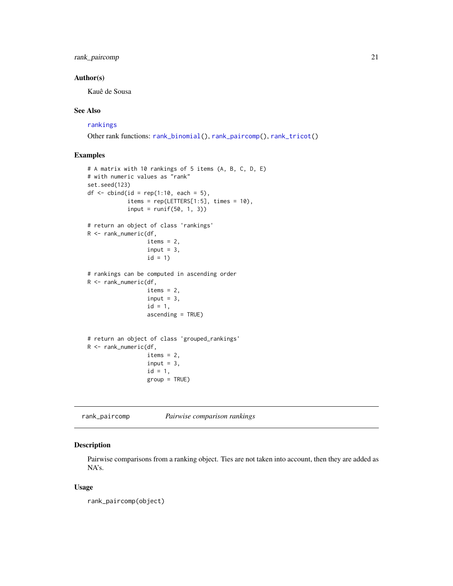## <span id="page-20-0"></span>rank\_paircomp 21

## Author(s)

Kauê de Sousa

## See Also

#### [rankings](#page-0-0)

Other rank functions: [rank\\_binomial\(](#page-18-1)), [rank\\_paircomp\(](#page-20-1)), [rank\\_tricot\(](#page-22-1))

## Examples

```
# A matrix with 10 rankings of 5 items (A, B, C, D, E)
# with numeric values as "rank"
set.seed(123)
df \le cbind(id = rep(1:10, each = 5),
            items = rep(LEFTERS[1:5], times = 10),
            input = runif(50, 1, 3))# return an object of class 'rankings'
R <- rank_numeric(df,
                  items = 2,input = 3,
                  id = 1# rankings can be computed in ascending order
R <- rank_numeric(df,
                  items = 2,
                  input = 3,
                  id = 1,
                  ascending = TRUE)
# return an object of class 'grouped_rankings'
R <- rank_numeric(df,
                  items = 2,
                  input = 3,
                  id = 1,
                  group = TRUE)
```
<span id="page-20-1"></span>rank\_paircomp *Pairwise comparison rankings*

#### Description

Pairwise comparisons from a ranking object. Ties are not taken into account, then they are added as NA's.

#### Usage

rank\_paircomp(object)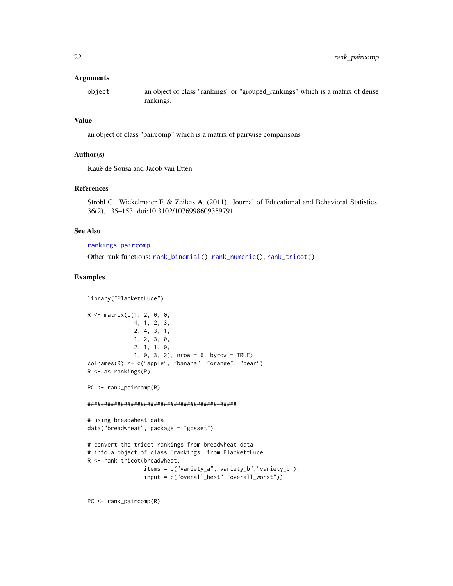#### <span id="page-21-0"></span>**Arguments**

object an object of class "rankings" or "grouped\_rankings" which is a matrix of dense rankings.

## Value

an object of class "paircomp" which is a matrix of pairwise comparisons

## Author(s)

Kauê de Sousa and Jacob van Etten

## References

```
Strobl C., Wickelmaier F. & Zeileis A. (2011). Journal of Educational and Behavioral Statistics,
36(2), 135–153. doi:10.3102/1076998609359791
```
## See Also

[rankings](#page-0-0), [paircomp](#page-0-0)

Other rank functions: [rank\\_binomial\(](#page-18-1)), [rank\\_numeric\(](#page-19-1)), [rank\\_tricot\(](#page-22-1))

## Examples

```
library("PlackettLuce")
R <- matrix(c(1, 2, 0, 0,
              4, 1, 2, 3,
              2, 4, 3, 1,
              1, 2, 3, 0,
              2, 1, 1, 0,
              1, 0, 3, 2), nrow = 6, byrow = TRUE)
colnames(R) <- c("apple", "banana", "orange", "pear")
R \leq -as.randomPC <- rank_paircomp(R)
#############################################
# using breadwheat data
data("breadwheat", package = "gosset")
# convert the tricot rankings from breadwheat data
# into a object of class 'rankings' from PlackettLuce
R <- rank_tricot(breadwheat,
                 items = c("variety_a","variety_b","variety_c"),
                 input = c("overall_best","overall_worst"))
```
PC <- rank\_paircomp(R)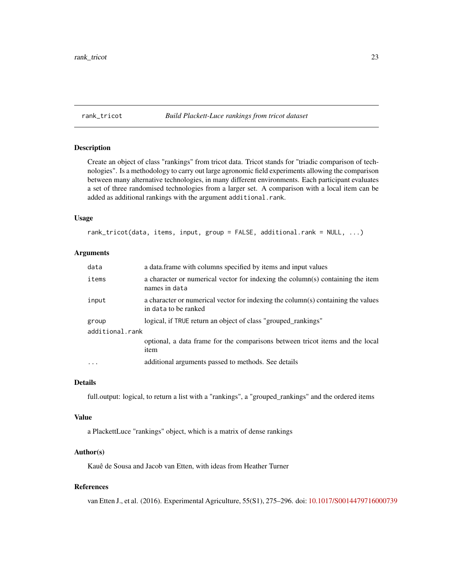#### <span id="page-22-1"></span><span id="page-22-0"></span>rank\_tricot *Build Plackett-Luce rankings from tricot dataset*

#### Description

Create an object of class "rankings" from tricot data. Tricot stands for "triadic comparison of technologies". Is a methodology to carry out large agronomic field experiments allowing the comparison between many alternative technologies, in many different environments. Each participant evaluates a set of three randomised technologies from a larger set. A comparison with a local item can be added as additional rankings with the argument additional.rank.

#### Usage

rank\_tricot(data, items, input, group = FALSE, additional.rank = NULL, ...)

#### Arguments

| data                     | a data.frame with columns specified by items and input values                                            |
|--------------------------|----------------------------------------------------------------------------------------------------------|
| items                    | a character or numerical vector for indexing the column(s) containing the item<br>names in data          |
| input                    | a character or numerical vector for indexing the column(s) containing the values<br>in data to be ranked |
| group<br>additional.rank | logical, if TRUE return an object of class "grouped_rankings"                                            |
|                          | optional, a data frame for the comparisons between tricot items and the local<br>item                    |
| $\cdots$                 | additional arguments passed to methods. See details                                                      |

## Details

full.output: logical, to return a list with a "rankings", a "grouped\_rankings" and the ordered items

#### Value

a PlackettLuce "rankings" object, which is a matrix of dense rankings

#### Author(s)

Kauê de Sousa and Jacob van Etten, with ideas from Heather Turner

## References

van Etten J., et al. (2016). Experimental Agriculture, 55(S1), 275–296. doi: [10.1017/S0014479716000739](https://doi.org/10.1017/S0014479716000739)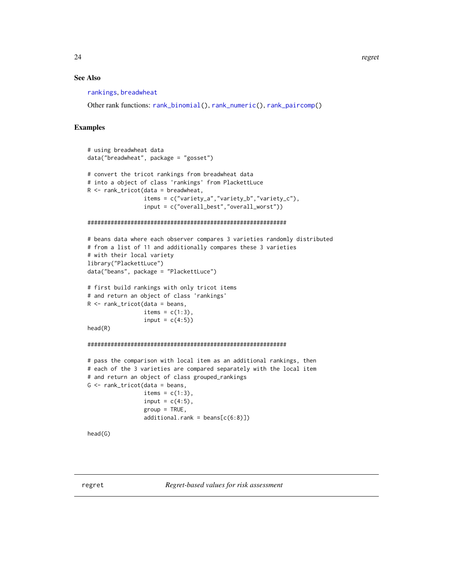## <span id="page-23-0"></span>See Also

[rankings](#page-0-0), [breadwheat](#page-2-1)

Other rank functions: [rank\\_binomial\(](#page-18-1)), [rank\\_numeric\(](#page-19-1)), [rank\\_paircomp\(](#page-20-1))

```
# using breadwheat data
data("breadwheat", package = "gosset")
# convert the tricot rankings from breadwheat data
# into a object of class 'rankings' from PlackettLuce
R <- rank_tricot(data = breadwheat,
                 items = c("variety_a","variety_b","variety_c"),
                 input = c("overall_best","overall_worst"))
############################################################
# beans data where each observer compares 3 varieties randomly distributed
# from a list of 11 and additionally compares these 3 varieties
# with their local variety
library("PlackettLuce")
data("beans", package = "PlackettLuce")
# first build rankings with only tricot items
# and return an object of class 'rankings'
R <- rank_tricot(data = beans,
                 items = c(1:3),
                 input = c(4:5)head(R)
############################################################
# pass the comparison with local item as an additional rankings, then
# each of the 3 varieties are compared separately with the local item
# and return an object of class grouped_rankings
G <- rank_tricot(data = beans,
                 items = c(1:3),
                 input = c(4:5),
                 group = TRUE,additional.random = beans[c(6:8)]head(G)
```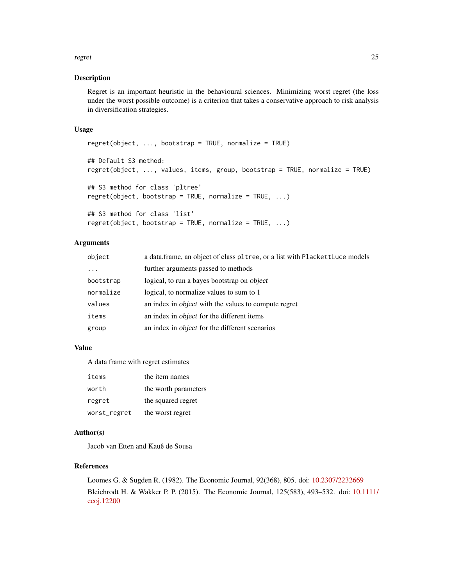#### regret 25

#### Description

Regret is an important heuristic in the behavioural sciences. Minimizing worst regret (the loss under the worst possible outcome) is a criterion that takes a conservative approach to risk analysis in diversification strategies.

#### Usage

```
regret(object, ..., bootstrap = TRUE, normalize = TRUE)## Default S3 method:
regret(object, ..., values, items, group, bootstrap = TRUE, normalize = TRUE)
## S3 method for class 'pltree'
regret(object, bootstrap = TRUE, normalize = TRUE, ...)
## S3 method for class 'list'
regret(object, bootstrap = TRUE, normalize = TRUE, ...)
```
## Arguments

| object    | a data frame, an object of class pltree, or a list with PlackettLuce models |
|-----------|-----------------------------------------------------------------------------|
| $\cdots$  | further arguments passed to methods                                         |
| bootstrap | logical, to run a bayes bootstrap on object                                 |
| normalize | logical, to normalize values to sum to 1                                    |
| values    | an index in <i>object</i> with the values to compute regret                 |
| items     | an index in <i>object</i> for the different items                           |
| group     | an index in <i>object</i> for the different scenarios                       |

#### Value

A data frame with regret estimates

| items        | the item names       |
|--------------|----------------------|
| worth        | the worth parameters |
| regret       | the squared regret   |
| worst_regret | the worst regret     |

## Author(s)

Jacob van Etten and Kauê de Sousa

### References

Loomes G. & Sugden R. (1982). The Economic Journal, 92(368), 805. doi: [10.2307/2232669](https://doi.org/10.2307/2232669) Bleichrodt H. & Wakker P. P. (2015). The Economic Journal, 125(583), 493–532. doi: [10.1111/](https://doi.org/10.1111/ecoj.12200) [ecoj.12200](https://doi.org/10.1111/ecoj.12200)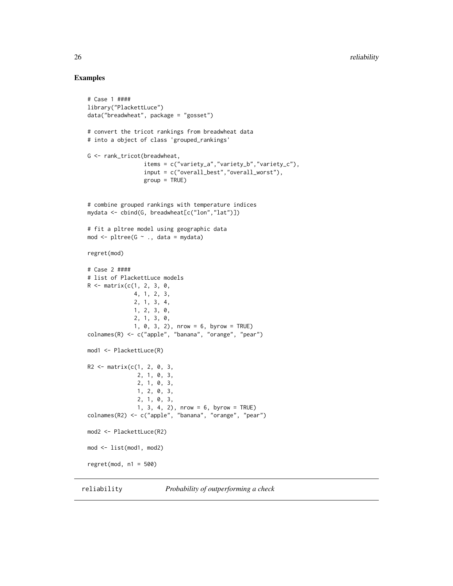## Examples

```
# Case 1 ####
library("PlackettLuce")
data("breadwheat", package = "gosset")
# convert the tricot rankings from breadwheat data
# into a object of class 'grouped_rankings'
G <- rank_tricot(breadwheat,
                 items = c("variety_a","variety_b","variety_c"),
                 input = c("overall_best","overall_worst"),
                 group = TRUE)
# combine grouped rankings with temperature indices
mydata <- cbind(G, breadwheat[c("lon","lat")])
# fit a pltree model using geographic data
mod <- pltree(G ~ ., data = mydata)
regret(mod)
# Case 2 ####
# list of PlackettLuce models
R <- matrix(c(1, 2, 3, 0,
              4, 1, 2, 3,
              2, 1, 3, 4,
              1, 2, 3, 0,
              2, 1, 3, 0,
              1, 0, 3, 2), nrow = 6, byrow = TRUE)
colnames(R) <- c("apple", "banana", "orange", "pear")
mod1 <- PlackettLuce(R)
R2 \leq - matrix(c(1, 2, 0, 3,
               2, 1, 0, 3,
               2, 1, 0, 3,
               1, 2, 0, 3,
               2, 1, 0, 3,
               1, 3, 4, 2), nrow = 6, byrow = TRUE)
colnames(R2) <- c("apple", "banana", "orange", "pear")
mod2 <- PlackettLuce(R2)
mod <- list(mod1, mod2)
regret(mod, n1 = 500)
```
reliability *Probability of outperforming a check*

<span id="page-25-0"></span>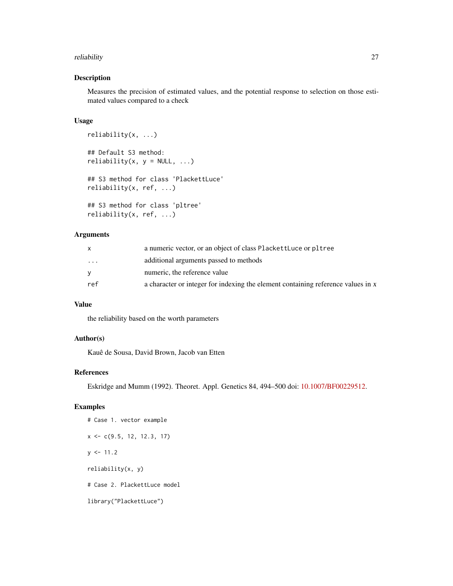#### reliability 27

## Description

Measures the precision of estimated values, and the potential response to selection on those estimated values compared to a check

#### Usage

```
reliability(x, ...)
## Default S3 method:
reliability(x, y = NULL, ...)
## S3 method for class 'PlackettLuce'
reliability(x, ref, ...)
## S3 method for class 'pltree'
reliability(x, ref, ...)
```
#### Arguments

|                         | a numeric vector, or an object of class PlackettLuce or pltree                   |
|-------------------------|----------------------------------------------------------------------------------|
| $\cdot$ $\cdot$ $\cdot$ | additional arguments passed to methods                                           |
|                         | numeric, the reference value                                                     |
| ref                     | a character or integer for indexing the element containing reference values in x |

## Value

the reliability based on the worth parameters

## Author(s)

Kauê de Sousa, David Brown, Jacob van Etten

#### References

Eskridge and Mumm (1992). Theoret. Appl. Genetics 84, 494–500 doi: [10.1007/BF00229512.](https://doi.org/10.1007/BF00229512)

## Examples

# Case 1. vector example  $x \leq -c(9.5, 12, 12.3, 17)$  $y \le -11.2$ reliability(x, y) # Case 2. PlackettLuce model library("PlackettLuce")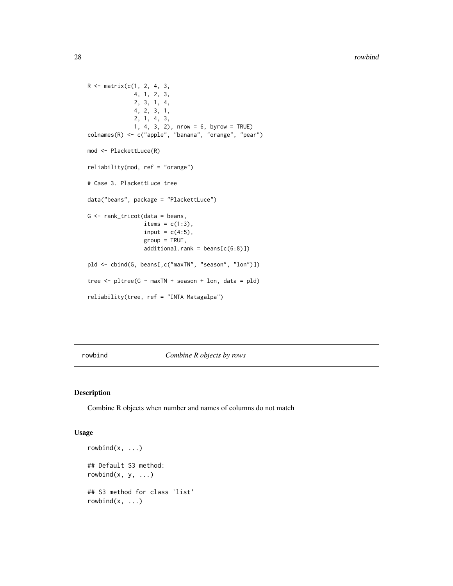```
R <- matrix(c(1, 2, 4, 3,
              4, 1, 2, 3,
              2, 3, 1, 4,
              4, 2, 3, 1,
              2, 1, 4, 3,
              1, 4, 3, 2), nrow = 6, byrow = TRUE)
colnames(R) <- c("apple", "banana", "orange", "pear")
mod <- PlackettLuce(R)
reliability(mod, ref = "orange")
# Case 3. PlackettLuce tree
data("beans", package = "PlackettLuce")
G <- rank_tricot(data = beans,
                 items = c(1:3),
                 input = c(4:5),
                 group = TRUE,
                 additional.random = beans[c(6:8)]pld <- cbind(G, beans[,c("maxTN", "season", "lon")])
tree \le pltree(G \sim maxTN + season + lon, data = pld)
reliability(tree, ref = "INTA Matagalpa")
```
rowbind *Combine R objects by rows*

#### Description

Combine R objects when number and names of columns do not match

#### Usage

```
rowbind(x, \ldots)## Default S3 method:
rowbind(x, y, \ldots)## S3 method for class 'list'
rowbind(x, \ldots)
```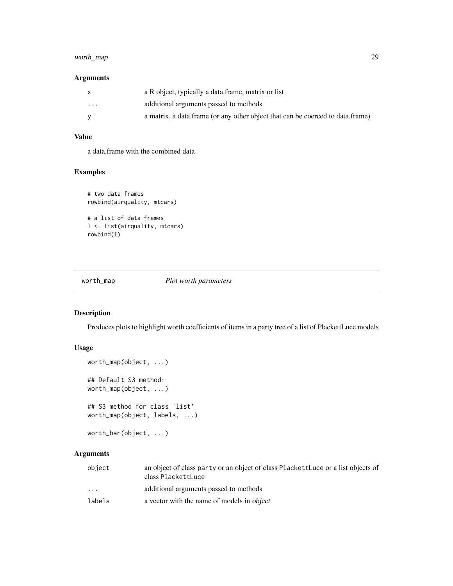## <span id="page-28-0"></span>worth\_map 29

## Arguments

| X        | a R object, typically a data frame, matrix or list                             |
|----------|--------------------------------------------------------------------------------|
| $\cdots$ | additional arguments passed to methods                                         |
|          | a matrix, a data frame (or any other object that can be coerced to data frame) |

## Value

a data.frame with the combined data

## Examples

```
# two data frames
rowbind(airquality, mtcars)
# a list of data frames
l <- list(airquality, mtcars)
rowbind(l)
```
worth\_map *Plot worth parameters*

## Description

Produces plots to highlight worth coefficients of items in a party tree of a list of PlackettLuce models

## Usage

```
worth_map(object, ...)
## Default S3 method:
worth_map(object, ...)
## S3 method for class 'list'
worth_map(object, labels, ...)
worth_bar(object, ...)
```
## Arguments

| object                  | an object of class party or an object of class PlackettLuce or a list objects of<br>class PlackettLuce |
|-------------------------|--------------------------------------------------------------------------------------------------------|
| $\cdot$ $\cdot$ $\cdot$ | additional arguments passed to methods                                                                 |
| labels                  | a vector with the name of models in object                                                             |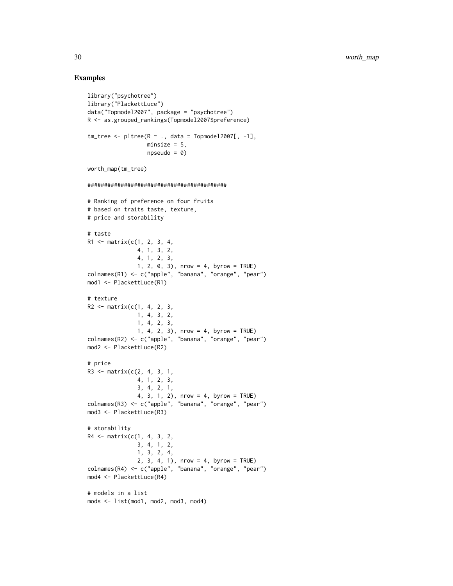```
library("psychotree")
library("PlackettLuce")
data("Topmodel2007", package = "psychotree")
R <- as.grouped_rankings(Topmodel2007$preference)
tm\_tree \leq - pltree(R \sim ., data = Topmodel2007[, -1],
                  minsize = 5,
                  npseudo = 0)
worth_map(tm_tree)
##########################################
# Ranking of preference on four fruits
# based on traits taste, texture,
# price and storability
# taste
R1 <- matrix(c(1, 2, 3, 4,
               4, 1, 3, 2,
               4, 1, 2, 3,
               1, 2, 0, 3), nrow = 4, byrow = TRUE)
colnames(R1) <- c("apple", "banana", "orange", "pear")
mod1 <- PlackettLuce(R1)
# texture
R2 \leq - matrix(c(1, 4, 2, 3,
               1, 4, 3, 2,
               1, 4, 2, 3,
               1, 4, 2, 3), nrow = 4, byrow = TRUE)
colnames(R2) <- c("apple", "banana", "orange", "pear")
mod2 <- PlackettLuce(R2)
# price
R3 <- matrix(c(2, 4, 3, 1,
               4, 1, 2, 3,
               3, 4, 2, 1,
               4, 3, 1, 2), nrow = 4, byrow = TRUE)
colnames(R3) <- c("apple", "banana", "orange", "pear")
mod3 <- PlackettLuce(R3)
# storability
R4 <- matrix(c(1, 4, 3, 2,
               3, 4, 1, 2,
               1, 3, 2, 4,
               2, 3, 4, 1), nrow = 4, byrow = TRUE)
colnames(R4) <- c("apple", "banana", "orange", "pear")
mod4 <- PlackettLuce(R4)
# models in a list
mods <- list(mod1, mod2, mod3, mod4)
```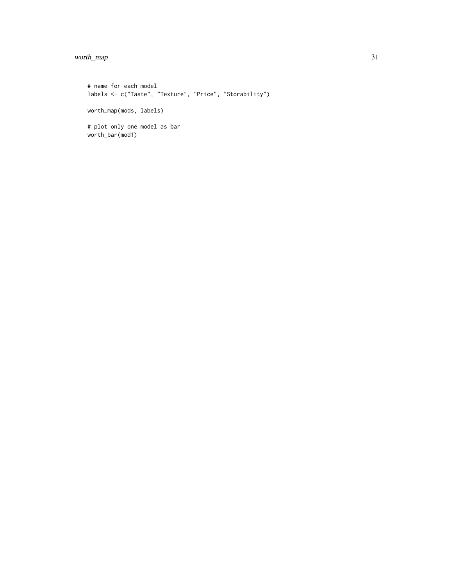## worth\_map 31

# name for each model labels <- c("Taste", "Texture", "Price", "Storability") worth\_map(mods, labels) # plot only one model as bar worth\_bar(mod1)